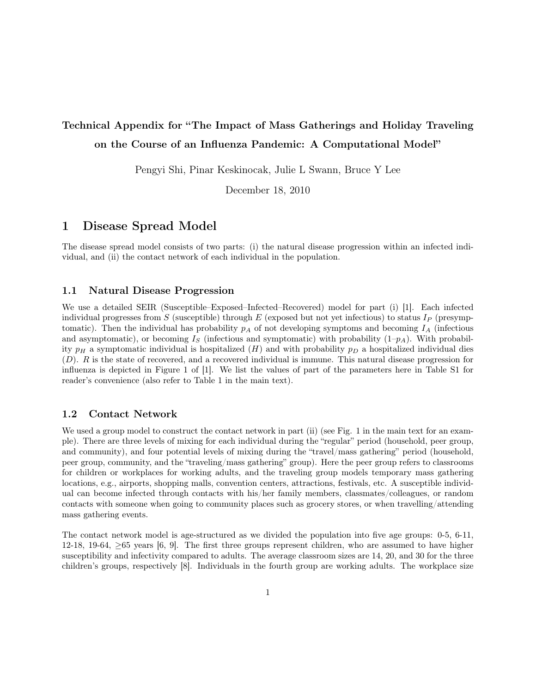# Technical Appendix for "The Impact of Mass Gatherings and Holiday Traveling on the Course of an Influenza Pandemic: A Computational Model"

Pengyi Shi, Pinar Keskinocak, Julie L Swann, Bruce Y Lee

December 18, 2010

# 1 Disease Spread Model

The disease spread model consists of two parts: (i) the natural disease progression within an infected individual, and (ii) the contact network of each individual in the population.

### 1.1 Natural Disease Progression

We use a detailed SEIR (Susceptible–Exposed–Infected–Recovered) model for part (i) [1]. Each infected individual progresses from S (susceptible) through E (exposed but not yet infectious) to status  $I_P$  (presymptomatic). Then the individual has probability  $p_A$  of not developing symptoms and becoming  $I_A$  (infectious and asymptomatic), or becoming  $I<sub>S</sub>$  (infectious and symptomatic) with probability  $(1-p<sub>A</sub>)$ . With probability  $p_H$  a symptomatic individual is hospitalized (H) and with probability  $p_D$  a hospitalized individual dies (D). R is the state of recovered, and a recovered individual is immune. This natural disease progression for influenza is depicted in Figure 1 of [1]. We list the values of part of the parameters here in Table S1 for reader's convenience (also refer to Table 1 in the main text).

## 1.2 Contact Network

We used a group model to construct the contact network in part (ii) (see Fig. 1 in the main text for an example). There are three levels of mixing for each individual during the "regular" period (household, peer group, and community), and four potential levels of mixing during the "travel/mass gathering" period (household, peer group, community, and the "traveling/mass gathering" group). Here the peer group refers to classrooms for children or workplaces for working adults, and the traveling group models temporary mass gathering locations, e.g., airports, shopping malls, convention centers, attractions, festivals, etc. A susceptible individual can become infected through contacts with his/her family members, classmates/colleagues, or random contacts with someone when going to community places such as grocery stores, or when travelling/attending mass gathering events.

The contact network model is age-structured as we divided the population into five age groups: 0-5, 6-11, 12-18, 19-64, ≥65 years [6, 9]. The first three groups represent children, who are assumed to have higher susceptibility and infectivity compared to adults. The average classroom sizes are 14, 20, and 30 for the three children's groups, respectively [8]. Individuals in the fourth group are working adults. The workplace size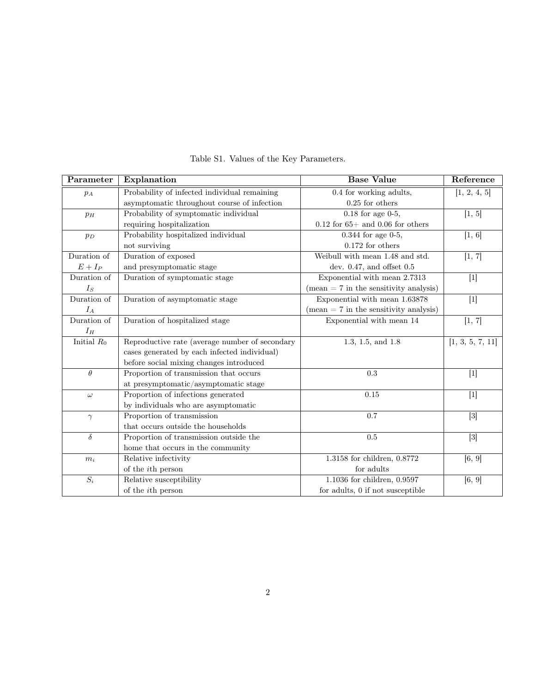| Parameter      | Explanation                                    | <b>Base Value</b>                                       | Reference        |
|----------------|------------------------------------------------|---------------------------------------------------------|------------------|
| $p_A$          | Probability of infected individual remaining   | 0.4 for working adults,                                 | [1, 2, 4, 5]     |
|                | asymptomatic throughout course of infection    | $0.25$ for others                                       |                  |
| $p_H$          | Probability of symptomatic individual          | $0.18$ for age $0-5$ ,                                  | [1, 5]           |
|                | requiring hospitalization                      | $0.12$ for 65+ and 0.06 for others                      |                  |
| $p_D$          | Probability hospitalized individual            | $0.344$ for age $0-5$ ,                                 | [1, 6]           |
|                | not surviving                                  | $0.172$ for others                                      |                  |
| Duration of    | Duration of exposed                            | Weibull with mean 1.48 and std.                         | [1, 7]           |
| $E+I_{\cal P}$ | and presymptomatic stage                       | dev. $0.47$ , and offset $0.5$                          |                  |
| Duration of    | Duration of symptomatic stage                  | Exponential with mean 2.7313                            |                  |
| $I_S$          |                                                | $(\text{mean} = 7 \text{ in the sensitivity analysis})$ |                  |
| Duration of    | Duration of asymptomatic stage                 | Exponential with mean 1.63878                           |                  |
| $I_A$          |                                                | $(mean = 7$ in the sensitivity analysis)                |                  |
| Duration of    | Duration of hospitalized stage                 | Exponential with mean 14                                | [1, 7]           |
| $I_H$          |                                                |                                                         |                  |
| Initial $R_0$  | Reproductive rate (average number of secondary | 1.3, 1.5, and 1.8                                       | [1, 3, 5, 7, 11] |
|                | cases generated by each infected individual)   |                                                         |                  |
|                | before social mixing changes introduced        |                                                         |                  |
| $\theta$       | Proportion of transmission that occurs         | 0.3                                                     | $[1]$            |
|                | at presymptomatic/asymptomatic stage           |                                                         |                  |
| $\omega$       | Proportion of infections generated             | 0.15                                                    | $[1]$            |
|                | by individuals who are asymptomatic            |                                                         |                  |
| $\gamma$       | Proportion of transmission                     | 0.7                                                     | $[3]$            |
|                | that occurs outside the households             |                                                         |                  |
| $\delta$       | Proportion of transmission outside the         | 0.5                                                     | $[3]$            |
|                | home that occurs in the community              |                                                         |                  |
| $m_i$          | Relative infectivity                           | 1.3158 for children, 0.8772                             | [6, 9]           |
|                | of the <i>i</i> th person                      | for adults                                              |                  |
| $S_i$          | Relative susceptibility                        | 1.1036 for children, 0.9597                             | [6, 9]           |
|                | of the <i>i</i> th person                      | for adults, 0 if not susceptible                        |                  |

Table S1. Values of the Key Parameters.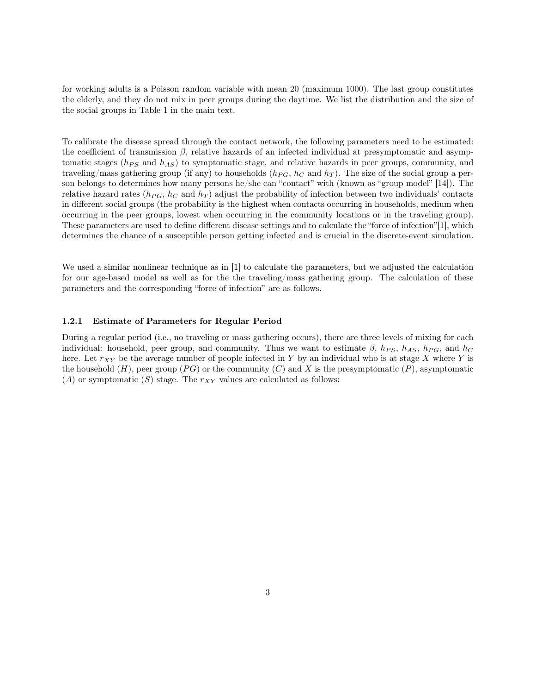for working adults is a Poisson random variable with mean 20 (maximum 1000). The last group constitutes the elderly, and they do not mix in peer groups during the daytime. We list the distribution and the size of the social groups in Table 1 in the main text.

To calibrate the disease spread through the contact network, the following parameters need to be estimated: the coefficient of transmission  $\beta$ , relative hazards of an infected individual at presymptomatic and asymptomatic stages ( $h_{PS}$  and  $h_{AS}$ ) to symptomatic stage, and relative hazards in peer groups, community, and traveling/mass gathering group (if any) to households  $(h_{PG}, h_{C} \text{ and } h_{T})$ . The size of the social group a person belongs to determines how many persons he/she can "contact" with (known as "group model" [14]). The relative hazard rates ( $h_{PG}$ ,  $h_C$  and  $h_T$ ) adjust the probability of infection between two individuals' contacts in different social groups (the probability is the highest when contacts occurring in households, medium when occurring in the peer groups, lowest when occurring in the community locations or in the traveling group). These parameters are used to define different disease settings and to calculate the "force of infection"[1], which determines the chance of a susceptible person getting infected and is crucial in the discrete-event simulation.

We used a similar nonlinear technique as in [1] to calculate the parameters, but we adjusted the calculation for our age-based model as well as for the the traveling/mass gathering group. The calculation of these parameters and the corresponding "force of infection" are as follows.

#### 1.2.1 Estimate of Parameters for Regular Period

During a regular period (i.e., no traveling or mass gathering occurs), there are three levels of mixing for each individual: household, peer group, and community. Thus we want to estimate  $\beta$ ,  $h_{PS}$ ,  $h_{AS}$ ,  $h_{PG}$ , and  $h_{C}$ here. Let  $r_{XY}$  be the average number of people infected in Y by an individual who is at stage X where Y is the household  $(H)$ , peer group (PG) or the community (C) and X is the presymptomatic (P), asymptomatic  $(A)$  or symptomatic  $(S)$  stage. The  $r_{XY}$  values are calculated as follows: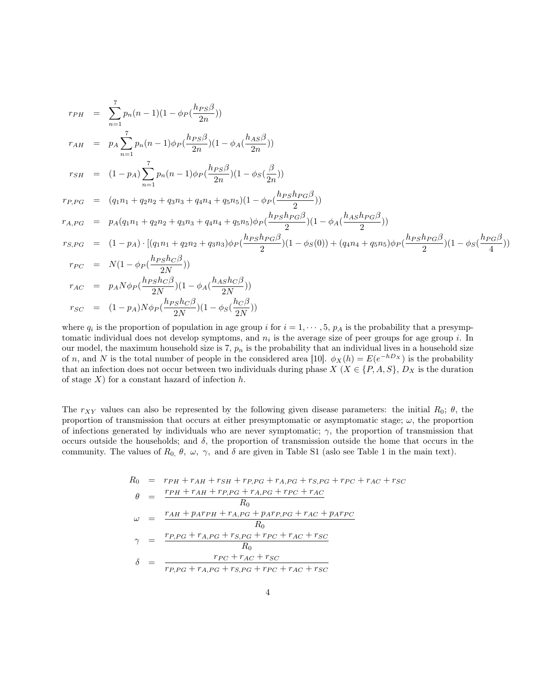$$
r_{PH} = \sum_{n=1}^{7} p_n(n-1)(1 - \phi_P(\frac{h_{PS}\beta}{2n}))
$$
  
\n
$$
r_{AH} = p_A \sum_{n=1}^{7} p_n(n-1)\phi_P(\frac{h_{PS}\beta}{2n})(1 - \phi_A(\frac{h_{AS}\beta}{2n}))
$$
  
\n
$$
r_{SH} = (1 - p_A) \sum_{n=1}^{7} p_n(n-1)\phi_P(\frac{h_{PS}\beta}{2n})(1 - \phi_S(\frac{\beta}{2n}))
$$
  
\n
$$
r_{P,PG} = (q_1n_1 + q_2n_2 + q_3n_3 + q_4n_4 + q_5n_5)(1 - \phi_P(\frac{h_{PS}h_{PG}\beta}{2}))
$$
  
\n
$$
r_{A,PG} = p_A(q_1n_1 + q_2n_2 + q_3n_3 + q_4n_4 + q_5n_5)\phi_P(\frac{h_{PS}h_{PG}\beta}{2})(1 - \phi_A(\frac{h_{AS}h_{PG}\beta}{2}))
$$
  
\n
$$
r_{S,PG} = (1 - p_A) \cdot [(q_1n_1 + q_2n_2 + q_3n_3)\phi_P(\frac{h_{PS}h_{PG}\beta}{2})(1 - \phi_S(0)) + (q_4n_4 + q_5n_5)\phi_P(\frac{h_{PS}h_{PG}\beta}{2})(1 - \phi_S(\frac{h_{PS}\beta}{2}))
$$
  
\n
$$
r_{PC} = N(1 - \phi_P(\frac{h_{PS}h_{C}\beta}{2N}))
$$
  
\n
$$
r_{AC} = p_AN\phi_P(\frac{h_{PS}h_{C}\beta}{2N})(1 - \phi_A(\frac{h_{AS}h_{C}\beta}{2N}))
$$
  
\n
$$
r_{SC} = (1 - p_A)N\phi_P(\frac{h_{PS}h_{C}\beta}{2N})(1 - \phi_S(\frac{h_{C}\beta}{2N}))
$$

where  $q_i$  is the proportion of population in age group i for  $i = 1, \dots, 5, p_A$  is the probability that a presymptomatic individual does not develop symptoms, and  $n_i$  is the average size of peer groups for age group i. In our model, the maximum household size is 7,  $p_n$  is the probability that an individual lives in a household size of n, and N is the total number of people in the considered area [10].  $\phi_X(h) = E(e^{-hD_X})$  is the probability that an infection does not occur between two individuals during phase  $X$  ( $X \in \{P, A, S\}$ ,  $D_X$  is the duration of stage  $X$ ) for a constant hazard of infection  $h$ .

The  $r_{XY}$  values can also be represented by the following given disease parameters: the initial  $R_0$ ;  $\theta$ , the proportion of transmission that occurs at either presymptomatic or asymptomatic stage;  $\omega$ , the proportion of infections generated by individuals who are never symptomatic;  $\gamma$ , the proportion of transmission that occurs outside the households; and  $\delta$ , the proportion of transmission outside the home that occurs in the community. The values of  $R_0$ ,  $\theta$ ,  $\omega$ ,  $\gamma$ , and  $\delta$  are given in Table S1 (aslo see Table 1 in the main text).

$$
R_0 = r_{PH} + r_{AH} + r_{SH} + r_{P,PG} + r_{A,PG} + r_{S,PG} + r_{PC} + r_{AC} + r_{SC}
$$
  
\n
$$
\theta = \frac{r_{PH} + r_{AH} + r_{P,PG} + r_{A,PG} + r_{PC} + r_{AC}}{R_0}
$$
  
\n
$$
\omega = \frac{r_{AH} + p_{A}r_{PH} + r_{A,PG} + p_{A}r_{P,PG} + r_{AC} + p_{A}r_{PC}}{R_0}
$$
  
\n
$$
\gamma = \frac{r_{P,PG} + r_{A,PG} + r_{S,PG} + r_{PC} + r_{AC} + r_{SC}}{R_0}
$$
  
\n
$$
\delta = \frac{r_{PC} + r_{AC} + r_{SC}}{r_{P,PG} + r_{A,PG} + r_{S,PG} + r_{PC} + r_{AC} + r_{SC}}
$$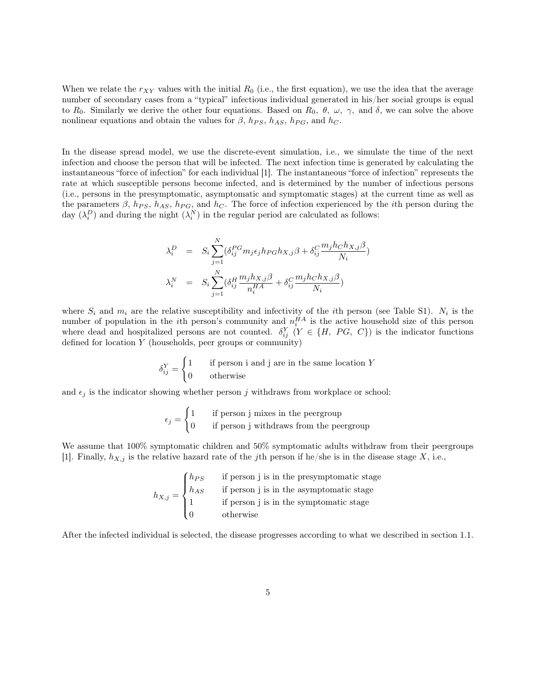When we relate the  $r_{XY}$  values with the initial  $R_0$  (i.e., the first equation), we use the idea that the average number of secondary cases from a "typical" infectious individual generated in his/her social groups is equal to R<sub>0</sub>. Similarly we derive the other four equations. Based on R<sub>0</sub>,  $\theta$ ,  $\omega$ ,  $\gamma$ , and  $\delta$ , we can solve the above nonlinear equations and obtain the values for  $\beta$ ,  $h_{PS}$ ,  $h_{AS}$ ,  $h_{PG}$ , and  $h_C$ .

In the disease spread model, we use the discrete-event simulation, i.e., we simulate the time of the next infection and choose the person that will be infected. The next infection time is generated by calculating the instantaneous "force of infection" for each individual [1]. The instantaneous "force of infection" represents the rate at which susceptible persons become infected, and is determined by the number of infectious persons (i.e., persons in the presymptomatic, asymptomatic and symptomatic stages) at the current time as well as the parameters  $\beta$ ,  $h_{PS}$ ,  $h_{AS}$ ,  $h_{PG}$ , and  $h_C$ . The force of infection experienced by the *i*th person during the day  $(\lambda_i^D)$  and during the night  $(\lambda_i^N)$  in the regular period are calculated as follows:

$$
\lambda_i^D = S_i \sum_{j=1}^N (\delta_{ij}^{PG} m_j \epsilon_j h_{PG} h_{X,j} \beta + \delta_{ij}^C \frac{m_j h_C h_{X,j} \beta}{N_i})
$$
  

$$
\lambda_i^N = S_i \sum_{j=1}^N (\delta_{ij}^H \frac{m_j h_{X,j} \beta}{n_i^H A} + \delta_{ij}^C \frac{m_j h_C h_{X,j} \beta}{N_i})
$$

where  $S_i$  and  $m_i$  are the relative susceptibility and infectivity of the *i*th person (see Table S1).  $N_i$  is the number of population in the *i*th person's community and  $n_i^{HA}$  is the active household size of this person where dead and hospitalized persons are not counted.  $\delta_{ij}^Y(Y \in \{H, PG, C\})$  is the indicator functions defined for location  $Y$  (households, peer groups or community)

$$
\delta_{ij}^Y = \begin{cases} 1 & \text{if person i and j are in the same location } Y \\ 0 & \text{otherwise} \end{cases}
$$

and  $\epsilon_j$  is the indicator showing whether person j withdraws from workplace or school:

$$
\epsilon_j = \begin{cases} 1 & \text{if person j mixes in the pergroup} \\ 0 & \text{if person j withdrawals from the pergroup} \end{cases}
$$

We assume that  $100\%$  symptomatic children and  $50\%$  symptomatic adults withdraw from their peergroups [1]. Finally,  $h_{X,j}$  is the relative hazard rate of the jth person if he/she is in the disease stage X, i.e.,

$$
h_{X,j} = \begin{cases} h_{PS} & \text{if person j is in the presymptomatic stage} \\ h_{AS} & \text{if person j is in the asymptomatic stage} \\ 1 & \text{if person j is in the symptomatic stage} \\ 0 & \text{otherwise} \end{cases}
$$

After the infected individual is selected, the disease progresses according to what we described in section 1.1.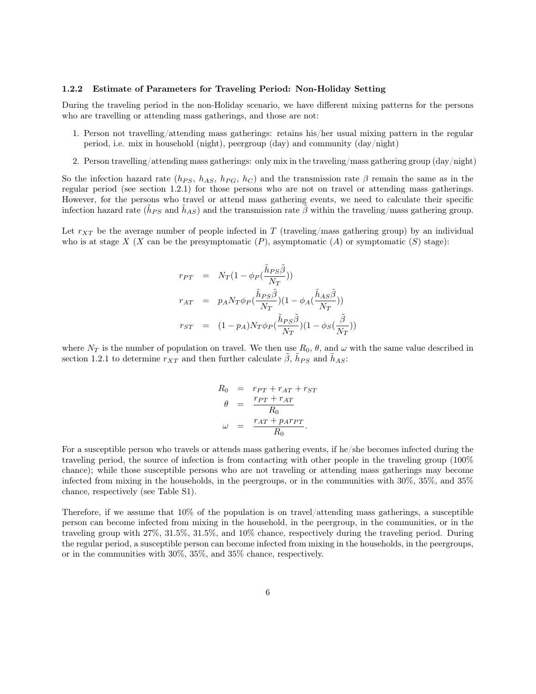#### 1.2.2 Estimate of Parameters for Traveling Period: Non-Holiday Setting

During the traveling period in the non-Holiday scenario, we have different mixing patterns for the persons who are travelling or attending mass gatherings, and those are not:

- 1. Person not travelling/attending mass gatherings: retains his/her usual mixing pattern in the regular period, i.e. mix in household (night), peergroup (day) and community (day/night)
- 2. Person travelling/attending mass gatherings: only mix in the traveling/mass gathering group (day/night)

So the infection hazard rate ( $h_{PS}$ ,  $h_{AS}$ ,  $h_{PG}$ ,  $h_C$ ) and the transmission rate  $\beta$  remain the same as in the regular period (see section 1.2.1) for those persons who are not on travel or attending mass gatherings. However, for the persons who travel or attend mass gathering events, we need to calculate their specific infection hazard rate  $(\tilde{h}_{PS}$  and  $\tilde{h}_{AS})$  and the transmission rate  $\tilde{\beta}$  within the traveling/mass gathering group.

Let  $r_{XT}$  be the average number of people infected in T (traveling/mass gathering group) by an individual who is at stage X (X can be the presymptomatic  $(P)$ , asymptomatic  $(A)$  or symptomatic  $(S)$  stage):

$$
\begin{array}{rcl} r_{PT} & = & N_T (1-\phi_P(\frac{\tilde{h}_{PS}\tilde{\beta}}{N_T})) \\ r_{AT} & = & p_A N_T \phi_P(\frac{\tilde{h}_{PS}\tilde{\beta}}{N_T}) (1-\phi_A(\frac{\tilde{h}_{AS}\tilde{\beta}}{N_T})) \\ r_{ST} & = & (1-p_A) N_T \phi_P(\frac{\tilde{h}_{PS}\tilde{\beta}}{N_T}) (1-\phi_S(\frac{\tilde{\beta}}{N_T})) \end{array}
$$

where  $N_T$  is the number of population on travel. We then use  $R_0, \theta$ , and  $\omega$  with the same value described in section 1.2.1 to determine  $r_{XT}$  and then further calculate  $\tilde{\beta}$ ,  $\tilde{h}_{PS}$  and  $\tilde{h}_{AS}$ :

$$
R_0 = r_{PT} + r_{AT} + r_{ST}
$$

$$
\theta = \frac{r_{PT} + r_{AT}}{R_0}
$$

$$
\omega = \frac{r_{AT} + p_A r_{PT}}{R_0}.
$$

For a susceptible person who travels or attends mass gathering events, if he/she becomes infected during the traveling period, the source of infection is from contacting with other people in the traveling group (100% chance); while those susceptible persons who are not traveling or attending mass gatherings may become infected from mixing in the households, in the peergroups, or in the communities with 30%, 35%, and 35% chance, respectively (see Table S1).

Therefore, if we assume that  $10\%$  of the population is on travel/attending mass gatherings, a susceptible person can become infected from mixing in the household, in the peergroup, in the communities, or in the traveling group with 27%, 31.5%, 31.5%, and 10% chance, respectively during the traveling period. During the regular period, a susceptible person can become infected from mixing in the households, in the peergroups, or in the communities with 30%, 35%, and 35% chance, respectively.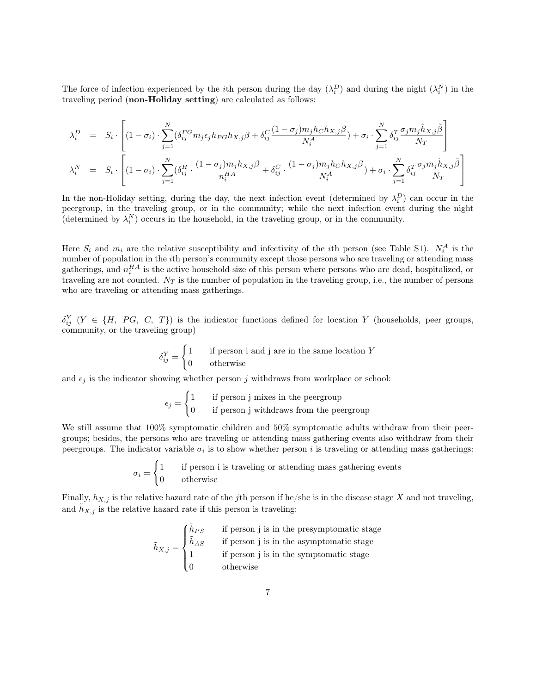The force of infection experienced by the *i*th person during the day  $(\lambda_i^D)$  and during the night  $(\lambda_i^N)$  in the traveling period (non-Holiday setting) are calculated as follows:

$$
\lambda_i^D = S_i \cdot \left[ (1 - \sigma_i) \cdot \sum_{j=1}^N (\delta_{ij}^{PG} m_j \epsilon_j h_{PG} h_{X,j} \beta + \delta_{ij}^C \frac{(1 - \sigma_j) m_j h_C h_{X,j} \beta}{N_i^A}) + \sigma_i \cdot \sum_{j=1}^N \delta_{ij}^T \frac{\sigma_j m_j \tilde{h}_{X,j} \tilde{\beta}}{N_T} \right]
$$
  

$$
\lambda_i^N = S_i \cdot \left[ (1 - \sigma_i) \cdot \sum_{j=1}^N (\delta_{ij}^H \cdot \frac{(1 - \sigma_j) m_j h_{X,j} \beta}{n_i^H A} + \delta_{ij}^C \cdot \frac{(1 - \sigma_j) m_j h_C h_{X,j} \beta}{N_i^A}) + \sigma_i \cdot \sum_{j=1}^N \delta_{ij}^T \frac{\sigma_j m_j \tilde{h}_{X,j} \tilde{\beta}}{N_T} \right]
$$

In the non-Holiday setting, during the day, the next infection event (determined by  $\lambda_i^D$ ) can occur in the peergroup, in the traveling group, or in the community; while the next infection event during the night (determined by  $\lambda_i^N$ ) occurs in the household, in the traveling group, or in the community.

Here  $S_i$  and  $m_i$  are the relative susceptibility and infectivity of the *i*th person (see Table S1).  $N_i^A$  is the number of population in the ith person's community except those persons who are traveling or attending mass gatherings, and  $n_i^{HA}$  is the active household size of this person where persons who are dead, hospitalized, or traveling are not counted.  $N_T$  is the number of population in the traveling group, i.e., the number of persons who are traveling or attending mass gatherings.

 $\delta_{ij}^Y$   $(Y \in \{H, PG, C, T\})$  is the indicator functions defined for location Y (households, peer groups, community, or the traveling group)

$$
\delta_{ij}^Y = \begin{cases} 1 & \text{if person i and j are in the same location } Y \\ 0 & \text{otherwise} \end{cases}
$$

and  $\epsilon_j$  is the indicator showing whether person j withdraws from workplace or school:

$$
\epsilon_j = \begin{cases} 1 & \text{if person j mixes in the pergroup} \\ 0 & \text{if person j with draws from the pergroup} \end{cases}
$$

We still assume that 100% symptomatic children and 50% symptomatic adults withdraw from their peergroups; besides, the persons who are traveling or attending mass gathering events also withdraw from their peergroups. The indicator variable  $\sigma_i$  is to show whether person i is traveling or attending mass gatherings:

$$
\sigma_i = \begin{cases} 1 & \text{if person i is traveling or attending mass gathering events} \\ 0 & \text{otherwise} \end{cases}
$$

Finally,  $h_{X,j}$  is the relative hazard rate of the jth person if he/she is in the disease stage X and not traveling, and  $h_{X,j}$  is the relative hazard rate if this person is traveling:

$$
\tilde{h}_{X,j} = \begin{cases}\n\tilde{h}_{PS} & \text{if person j is in the presymptomatic stage} \\
\tilde{h}_{AS} & \text{if person j is in the asymptomatic stage} \\
1 & \text{if person j is in the symptomatic stage} \\
0 & \text{otherwise}\n\end{cases}
$$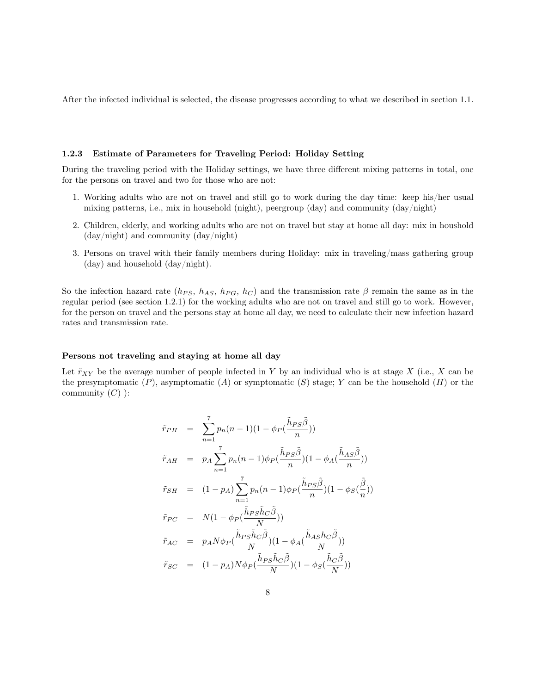After the infected individual is selected, the disease progresses according to what we described in section 1.1.

### 1.2.3 Estimate of Parameters for Traveling Period: Holiday Setting

During the traveling period with the Holiday settings, we have three different mixing patterns in total, one for the persons on travel and two for those who are not:

- 1. Working adults who are not on travel and still go to work during the day time: keep his/her usual mixing patterns, i.e., mix in household (night), peergroup (day) and community (day/night)
- 2. Children, elderly, and working adults who are not on travel but stay at home all day: mix in houshold (day/night) and community (day/night)
- 3. Persons on travel with their family members during Holiday: mix in traveling/mass gathering group (day) and household (day/night).

So the infection hazard rate ( $h_{PS}$ ,  $h_{AS}$ ,  $h_{PG}$ ,  $h_C$ ) and the transmission rate  $\beta$  remain the same as in the regular period (see section 1.2.1) for the working adults who are not on travel and still go to work. However, for the person on travel and the persons stay at home all day, we need to calculate their new infection hazard rates and transmission rate.

#### Persons not traveling and staying at home all day

Let  $\tilde{r}_{XY}$  be the average number of people infected in Y by an individual who is at stage X (i.e., X can be the presymptomatic  $(P)$ , asymptomatic  $(A)$  or symptomatic  $(S)$  stage; Y can be the household  $(H)$  or the community  $(C)$  ):

$$
\tilde{r}_{PH} = \sum_{n=1}^{7} p_n (n-1)(1 - \phi_P(\frac{\tilde{h}_{PS}\tilde{\beta}}{n}))
$$
\n
$$
\tilde{r}_{AH} = p_A \sum_{n=1}^{7} p_n (n-1)\phi_P(\frac{\tilde{h}_{PS}\tilde{\beta}}{n})(1 - \phi_A(\frac{\tilde{h}_{AS}\tilde{\beta}}{n}))
$$
\n
$$
\tilde{r}_{SH} = (1 - p_A) \sum_{n=1}^{7} p_n (n-1)\phi_P(\frac{\tilde{h}_{PS}\tilde{\beta}}{n})(1 - \phi_S(\frac{\tilde{\beta}}{n}))
$$
\n
$$
\tilde{r}_{PC} = N(1 - \phi_P(\frac{\tilde{h}_{PS}\tilde{h}_C\tilde{\beta}}{N}))
$$
\n
$$
\tilde{r}_{AC} = p_A N \phi_P(\frac{\tilde{h}_{PS}\tilde{h}_C\tilde{\beta}}{N})(1 - \phi_A(\frac{\tilde{h}_{AS}h_C\tilde{\beta}}{N}))
$$
\n
$$
\tilde{r}_{SC} = (1 - p_A)N \phi_P(\frac{\tilde{h}_{PS}\tilde{h}_C\tilde{\beta}}{N})(1 - \phi_S(\frac{\tilde{h}_C\tilde{\beta}}{N}))
$$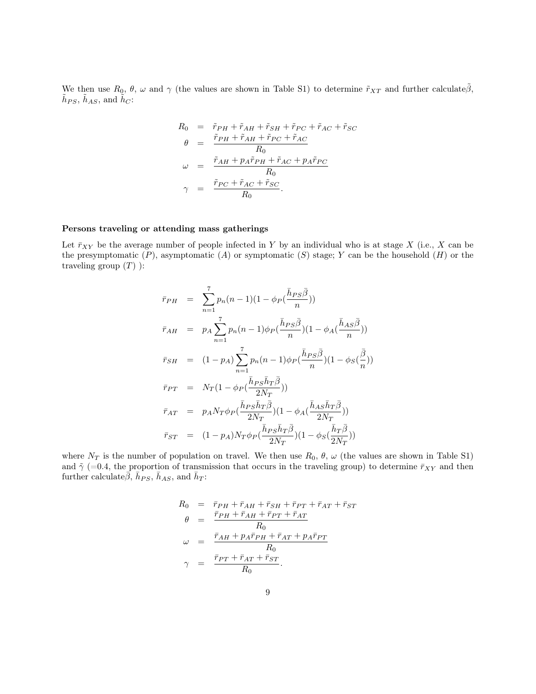We then use  $R_0, \theta, \omega$  and  $\gamma$  (the values are shown in Table S1) to determine  $\tilde{r}_{XT}$  and further calculate $\tilde{\beta}$ ,  $\tilde{h}_{PS}, \, \tilde{h}_{AS}, \, \text{and} \, \, \tilde{h}_{C}$ :

$$
R_0 = \tilde{r}_{PH} + \tilde{r}_{AH} + \tilde{r}_{SH} + \tilde{r}_{PC} + \tilde{r}_{AC} + \tilde{r}_{SC}
$$
  
\n
$$
\theta = \frac{\tilde{r}_{PH} + \tilde{r}_{AH} + \tilde{r}_{PC} + \tilde{r}_{AC}}{R_0}
$$
  
\n
$$
\omega = \frac{\tilde{r}_{AH} + p_A \tilde{r}_{PH} + \tilde{r}_{AC} + p_A \tilde{r}_{PC}}{R_0}
$$
  
\n
$$
\gamma = \frac{\tilde{r}_{PC} + \tilde{r}_{AC} + \tilde{r}_{SC}}{R_0}.
$$

#### Persons traveling or attending mass gatherings

Let  $\bar{r}_{XY}$  be the average number of people infected in Y by an individual who is at stage X (i.e., X can be the presymptomatic  $(P)$ , asymptomatic  $(A)$  or symptomatic  $(S)$  stage; Y can be the household  $(H)$  or the traveling group  $(T)$  ):

$$
\begin{array}{rcl}\n\bar{r}_{PH} & = & \sum_{n=1}^{7} p_n (n-1)(1 - \phi_P(\frac{\bar{h}_{PS}\bar{\beta}}{n})) \\
\bar{r}_{AH} & = & p_A \sum_{n=1}^{7} p_n (n-1)\phi_P(\frac{\bar{h}_{PS}\bar{\beta}}{n})(1 - \phi_A(\frac{\bar{h}_{AS}\bar{\beta}}{n})) \\
\bar{r}_{SH} & = & (1 - p_A) \sum_{n=1}^{7} p_n (n-1)\phi_P(\frac{\bar{h}_{PS}\bar{\beta}}{n})(1 - \phi_S(\frac{\bar{\beta}}{n})) \\
\bar{r}_{PT} & = & N_T(1 - \phi_P(\frac{\bar{h}_{PS}\bar{h}_T\bar{\beta}}{2N_T})) \\
\bar{r}_{AT} & = & p_A N_T \phi_P(\frac{\bar{h}_{PS}\bar{h}_T\bar{\beta}}{2N_T})(1 - \phi_A(\frac{\bar{h}_{AS}\bar{h}_T\bar{\beta}}{2N_T})) \\
\bar{r}_{ST} & = & (1 - p_A) N_T \phi_P(\frac{\bar{h}_{PS}\bar{h}_T\bar{\beta}}{2N_T})(1 - \phi_S(\frac{\bar{h}_T\bar{\beta}}{2N_T}))\n\end{array}
$$

where  $N_T$  is the number of population on travel. We then use  $R_0$ ,  $\theta$ ,  $\omega$  (the values are shown in Table S1) and  $\tilde{\gamma}$  (=0.4, the proportion of transmission that occurs in the traveling group) to determine  $\bar{r}_{XY}$  and then further calculate  $\bar{\beta}$ ,  $\bar{h}_{PS}$ ,  $\bar{h}_{AS}$ , and  $\bar{h}_T$ :

$$
R_0 = \bar{r}_{PH} + \bar{r}_{AH} + \bar{r}_{SH} + \bar{r}_{PT} + \bar{r}_{AT} + \bar{r}_{ST}
$$
  
\n
$$
\theta = \frac{\bar{r}_{PH} + \bar{r}_{AH} + \bar{r}_{PT} + \bar{r}_{AT}}{R_0}
$$
  
\n
$$
\omega = \frac{\bar{r}_{AH} + p_A \bar{r}_{PH} + \bar{r}_{AT} + p_A \bar{r}_{PT}}{R_0}
$$
  
\n
$$
\gamma = \frac{\bar{r}_{PT} + \bar{r}_{AT} + \bar{r}_{ST}}{R_0}.
$$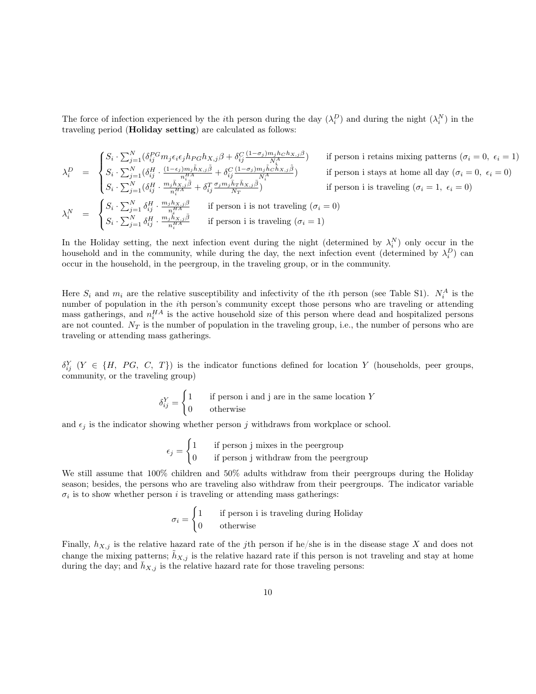The force of infection experienced by the *i*th person during the day  $(\lambda_i^D)$  and during the night  $(\lambda_i^N)$  in the traveling period (Holiday setting) are calculated as follows:

$$
\lambda_i^D = \begin{cases} S_i \cdot \sum_{j=1}^N (\delta_{ij}^{PG} m_j \epsilon_i \epsilon_j h_{PG} h_{X,j} \beta + \delta_{ij}^C \frac{(1-\sigma_j)m_jh_C h_{X,j} \beta}{N_i^A}) & \text{if person i retains mixing patterns } (\sigma_i = 0, \ \epsilon_i = 1) \\ S_i \cdot \sum_{j=1}^N (\delta_{ij}^H \cdot \frac{(1-\epsilon_j)m_jh_{X,j} \tilde{\beta}}{n_i^{H A}} + \delta_{ij}^C \frac{(1-\sigma_j)m_j\tilde{h}_C \tilde{h}_{X,j} \tilde{\beta}}{N_i^A}) & \text{if person i stays at home all day } (\sigma_i = 0, \ \epsilon_i = 0) \\ S_i \cdot \sum_{j=1}^N (\delta_{ij}^H \cdot \frac{m_jh_{X,j} \tilde{\beta}}{n_i^{H A}} + \delta_{ij}^T \frac{\sigma_j m_j\tilde{h}_T \tilde{h}_{X,j} \tilde{\beta}}{N_T}) & \text{if person i is traveling } (\sigma_i = 1, \ \epsilon_i = 0) \\ \lambda_i^N = \begin{cases} S_i \cdot \sum_{j=1}^N \delta_{ij}^H \cdot \frac{m_jh_{X,j} \beta}{n_i^{H A}} & \text{if person i is not traveling } (\sigma_i = 0) \\ S_i \cdot \sum_{j=1}^N \delta_{ij}^H \cdot \frac{m_jh_{X,j} \tilde{\beta}}{n_i^{H A}} & \text{if person i is traveling } (\sigma_i = 1) \end{cases} \end{cases}
$$

In the Holiday setting, the next infection event during the night (determined by  $\lambda_i^N$ ) only occur in the household and in the community, while during the day, the next infection event (determined by  $\lambda_i^D$ ) can occur in the household, in the peergroup, in the traveling group, or in the community.

Here  $S_i$  and  $m_i$  are the relative susceptibility and infectivity of the *i*th person (see Table S1).  $N_i^A$  is the number of population in the ith person's community except those persons who are traveling or attending mass gatherings, and  $n_i^{HA}$  is the active household size of this person where dead and hospitalized persons are not counted.  $N_T$  is the number of population in the traveling group, i.e., the number of persons who are traveling or attending mass gatherings.

 $\delta_{ij}^Y$   $(Y \in \{H, PG, C, T\})$  is the indicator functions defined for location Y (households, peer groups, community, or the traveling group)

$$
\delta_{ij}^Y = \begin{cases} 1 & \text{if person i and j are in the same location } Y \\ 0 & \text{otherwise} \end{cases}
$$

and  $\epsilon_i$  is the indicator showing whether person j withdraws from workplace or school.

$$
\epsilon_j = \begin{cases} 1 & \text{if person j mixes in the pergroup} \\ 0 & \text{if person j withdraw from the pergroup} \end{cases}
$$

We still assume that 100% children and 50% adults withdraw from their peergroups during the Holiday season; besides, the persons who are traveling also withdraw from their peergroups. The indicator variable  $\sigma_i$  is to show whether person i is traveling or attending mass gatherings:

$$
\sigma_i = \begin{cases} 1 & \text{if person i is traveling during Holiday} \\ 0 & \text{otherwise} \end{cases}
$$

Finally,  $h_{X,j}$  is the relative hazard rate of the jth person if he/she is in the disease stage X and does not change the mixing patterns;  $\tilde{h}_{X,j}$  is the relative hazard rate if this person is not traveling and stay at home during the day; and  $\bar{h}_{X,j}$  is the relative hazard rate for those traveling persons: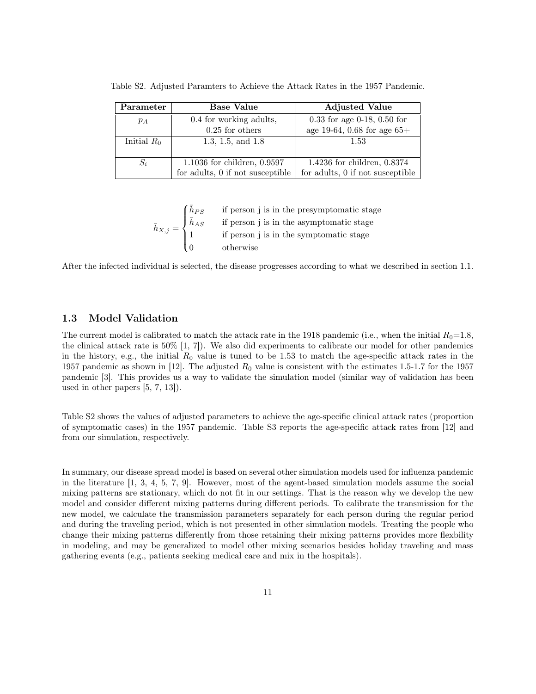| Parameter     | <b>Base Value</b>                | <b>Adjusted Value</b>            |
|---------------|----------------------------------|----------------------------------|
| $p_A$         | 0.4 for working adults,          | $0.33$ for age 0-18, 0.50 for    |
|               | $0.25$ for others                | age 19-64, 0.68 for age $65+$    |
| Initial $R_0$ | 1.3, 1.5, and $1.8$              | 1.53                             |
|               |                                  |                                  |
| $S_i$         | $1.1036$ for children, $0.9597$  | 1.4236 for children, $0.8374$    |
|               | for adults, 0 if not susceptible | for adults, 0 if not susceptible |

Table S2. Adjusted Paramters to Achieve the Attack Rates in the 1957 Pandemic.

 $\bar{h}_{X,j} =$  $\sqrt{ }$  $\int$  $\overline{\mathcal{L}}$  $\bar{h}_{PS}$  if person j is in the presymptomatic stage  $\bar{h}_{AS}$  if person j is in the asymptomatic stage 1 if person j is in the symptomatic stage 0 otherwise

After the infected individual is selected, the disease progresses according to what we described in section 1.1.

## 1.3 Model Validation

The current model is calibrated to match the attack rate in the 1918 pandemic (i.e., when the initial  $R_0=1.8$ , the clinical attack rate is 50% [1, 7]). We also did experiments to calibrate our model for other pandemics in the history, e.g., the initial  $R_0$  value is tuned to be 1.53 to match the age-specific attack rates in the 1957 pandemic as shown in [12]. The adjusted  $R_0$  value is consistent with the estimates 1.5-1.7 for the 1957 pandemic [3]. This provides us a way to validate the simulation model (similar way of validation has been used in other papers [5, 7, 13]).

Table S2 shows the values of adjusted parameters to achieve the age-specific clinical attack rates (proportion of symptomatic cases) in the 1957 pandemic. Table S3 reports the age-specific attack rates from [12] and from our simulation, respectively.

In summary, our disease spread model is based on several other simulation models used for influenza pandemic in the literature [1, 3, 4, 5, 7, 9]. However, most of the agent-based simulation models assume the social mixing patterns are stationary, which do not fit in our settings. That is the reason why we develop the new model and consider different mixing patterns during different periods. To calibrate the transmission for the new model, we calculate the transmission parameters separately for each person during the regular period and during the traveling period, which is not presented in other simulation models. Treating the people who change their mixing patterns differently from those retaining their mixing patterns provides more flexbility in modeling, and may be generalized to model other mixing scenarios besides holiday traveling and mass gathering events (e.g., patients seeking medical care and mix in the hospitals).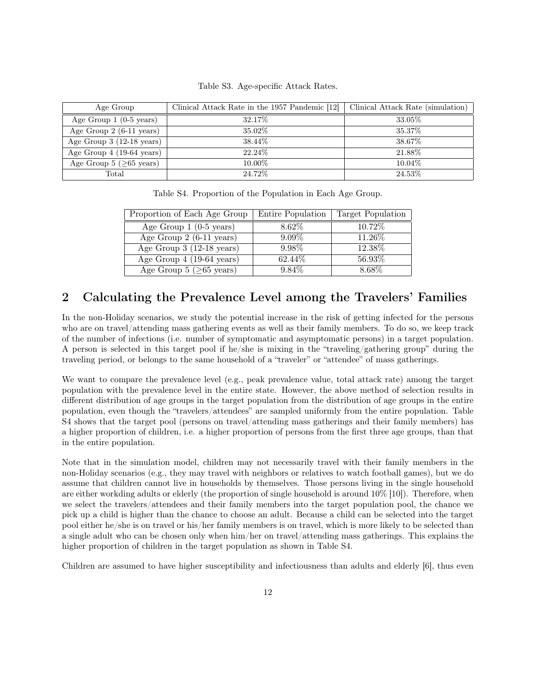|  | Table S3. Age-specific Attack Rates. |  |
|--|--------------------------------------|--|
|--|--------------------------------------|--|

| Age Group                          | Clinical Attack Rate in the 1957 Pandemic [12] | Clinical Attack Rate (simulation) |
|------------------------------------|------------------------------------------------|-----------------------------------|
| Age Group $1$ (0-5 years)          | 32.17\%                                        | 33.05%                            |
| Age Group $2(6-11 \text{ years})$  | 35.02%                                         | 35.37%                            |
| Age Group $3(12-18 \text{ years})$ | 38.44\%                                        | 38.67%                            |
| Age Group $4(19-64 \text{ years})$ | 22.24\%                                        | 21.88%                            |
| Age Group 5 ( $\geq 65$ years)     | 10.00\%                                        | 10.04\%                           |
| Total                              | 24.72%                                         | 24.53%                            |

Table S4. Proportion of the Population in Each Age Group.

| Proportion of Each Age Group       | Entire Population | Target Population |
|------------------------------------|-------------------|-------------------|
| Age Group $1$ (0-5 years)          | 8.62\%            | 10.72%            |
| Age Group $2(6-11 \text{ years})$  | $9.09\%$          | 11.26\%           |
| Age Group $3(12-18 \text{ years})$ | 9.98%             | 12.38%            |
| Age Group $4(19-64 \text{ years})$ | 62.44\%           | 56.93%            |
| Age Group 5 ( $\geq 65$ years)     | 9.84\%            | 8.68%             |

# 2 Calculating the Prevalence Level among the Travelers' Families

In the non-Holiday scenarios, we study the potential increase in the risk of getting infected for the persons who are on travel/attending mass gathering events as well as their family members. To do so, we keep track of the number of infections (i.e. number of symptomatic and asymptomatic persons) in a target population. A person is selected in this target pool if he/she is mixing in the "traveling/gathering group" during the traveling period, or belongs to the same household of a "traveler" or "attendee" of mass gatherings.

We want to compare the prevalence level (e.g., peak prevalence value, total attack rate) among the target population with the prevalence level in the entire state. However, the above method of selection results in different distribution of age groups in the target population from the distribution of age groups in the entire population, even though the "travelers/attendees" are sampled uniformly from the entire population. Table S4 shows that the target pool (persons on travel/attending mass gatherings and their family members) has a higher proportion of children, i.e. a higher proportion of persons from the first three age groups, than that in the entire population.

Note that in the simulation model, children may not necessarily travel with their family members in the non-Holiday scenarios (e.g., they may travel with neighbors or relatives to watch football games), but we do assume that children cannot live in households by themselves. Those persons living in the single household are either workding adults or elderly (the proportion of single household is around 10% [10]). Therefore, when we select the travelers/attendees and their family members into the target population pool, the chance we pick up a child is higher than the chance to choose an adult. Because a child can be selected into the target pool either he/she is on travel or his/her family members is on travel, which is more likely to be selected than a single adult who can be chosen only when him/her on travel/attending mass gatherings. This explains the higher proportion of children in the target population as shown in Table S4.

Children are assumed to have higher susceptibility and infectiousness than adults and elderly [6], thus even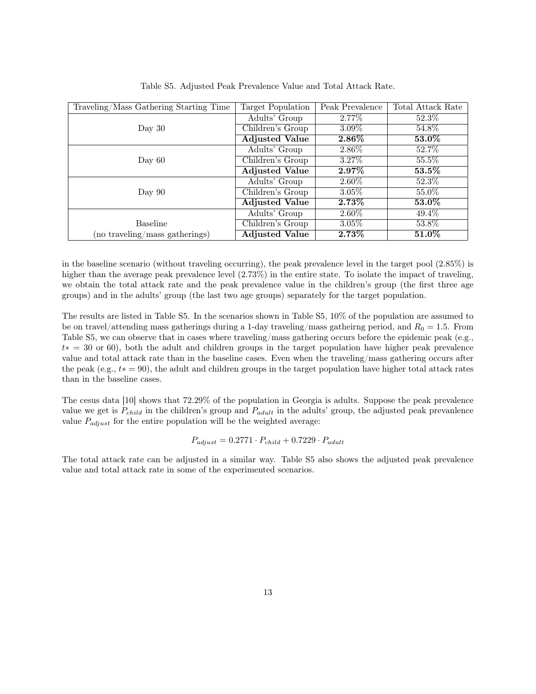| Traveling/Mass Gathering Starting Time | Target Population     | Peak Prevalence | Total Attack Rate     |
|----------------------------------------|-----------------------|-----------------|-----------------------|
|                                        | Adults' Group         | 2.77%           | 52.3%                 |
| Day $30$                               | Children's Group      | $3.09\%$        | 54.8%                 |
|                                        | <b>Adjusted Value</b> | $2.86\%$        | $53.0\%$              |
|                                        | Adults' Group         | $2.86\%$        | 52.7%                 |
| Day $60$                               | Children's Group      | $3.27\%$        | $55.5\%$              |
|                                        | <b>Adjusted Value</b> | $2.97\%$        | $\boldsymbol{53.5\%}$ |
|                                        | Adults' Group         | $2.60\%$        | $52.3\%$              |
| Day $90$                               | Children's Group      | $3.05\%$        | 55.0%                 |
|                                        | <b>Adjusted Value</b> | $2.73\%$        | $53.0\%$              |
|                                        | Adults' Group         | $2.60\%$        | $49.4\%$              |
| <b>Baseline</b>                        | Children's Group      | $3.05\%$        | 53.8%                 |
| (no traveling/mass gatherings)         | <b>Adjusted Value</b> | $2.73\%$        | $51.0\%$              |

Table S5. Adjusted Peak Prevalence Value and Total Attack Rate.

in the baseline scenario (without traveling occurring), the peak prevalence level in the target pool (2.85%) is higher than the average peak prevalence level  $(2.73\%)$  in the entire state. To isolate the impact of traveling, we obtain the total attack rate and the peak prevalence value in the children's group (the first three age groups) and in the adults' group (the last two age groups) separately for the target population.

The results are listed in Table S5. In the scenarios shown in Table S5, 10% of the population are assumed to be on travel/attending mass gatherings during a 1-day traveling/mass gatheirng period, and  $R_0 = 1.5$ . From Table S5, we can observe that in cases where traveling/mass gathering occurs before the epidemic peak (e.g., t∗ = 30 or 60), both the adult and children groups in the target population have higher peak prevalence value and total attack rate than in the baseline cases. Even when the traveling/mass gathering occurs after the peak (e.g.,  $t* = 90$ ), the adult and children groups in the target population have higher total attack rates than in the baseline cases.

The cesus data [10] shows that 72.29% of the population in Georgia is adults. Suppose the peak prevalence value we get is  $P_{child}$  in the children's group and  $P_{adult}$  in the adults' group, the adjusted peak prevanlence value  $P_{adjust}$  for the entire population will be the weighted average:

$$
P_{adjust} = 0.2771 \cdot P_{child} + 0.7229 \cdot P_{adult}
$$

The total attack rate can be adjusted in a similar way. Table S5 also shows the adjusted peak prevalence value and total attack rate in some of the experimented scenarios.